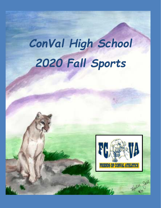# *ConVal High School 2020 Fall Sports*

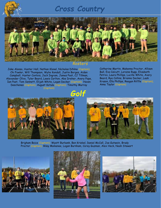### *Cross Country*



#### *Rosters*

Jake Alonso, Hunter Hall, Nathan Klonel, Nicholas DiNino (Captain), Chi Fowler, Will Thompson, Wylie Kendall, Justin Borges, Aiden Campbell, Hunter Contois, Jack Ingram, James Post, CJ Tillman, Alexander Olivo, Tyler Beard, Lewis Carlton, Abe Dreher, Avery Pope, Ian Post, Tom Sennett, Elijah White, Logan Decker (Captain), Haven Deschenes (Captain), August Kotula (Captain), Timothy Murray (Captain)

### *Golf*

Catherine Martin, Makenna Proctor, Allison Bull, Eva Calcutt, Loraine Rupp, Elizabeth Petrov, Laura Phillips, Lucille White, Avery Beard, Rya Collins, Brianna Decker, Leah Krason, Ella Phillips, Reagan Riffle (Captain), Anna Taylor (Captain)





Brigham Boice (Captain), Wyatt Burbank, Ben Kriebel, Daniel McCall, Joe Gutwein, Brady Proctor (Captain), Riley Momenee, Logan Burnham, Corey Guzman, Alex Heck, Noah Stewart





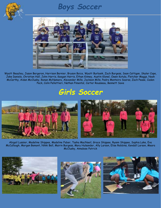

### *Boys Soccer*



Wyatt Beaulieu, Jason Bergeron, Harrison Bernier, Bryson Boice, Wyatt Burbank, Zach Burgess, Sean Cattigan, Skyler Cope, Jake Daniels, Christian Hall, John Harris, Keegan Harris, Ethan Kinney, Austin Klonel, Owen Kotula, Fletcher Maggs, Noah McCarthy, Aidan McClusky, Ronan McNamara, Alexander Mills, Jackson Mills, Pedro Monteiro Soares, Zach Pease, Caden Peck, Colin Pellettieri, Nathan Pimental, Carter Rousseau, Bennett Saxe

## *Girls Soccer*



Abigail Lussier, Madeline Shippee, Madeline Faber, Tasha MacNaeil, Grace Shippee, Ryann Shippee, Sophia Lake, Eva McCullough, Morgan Bemont, Nikki Bell, Mairin Burgess, Mary Hulsander, Ally Larson, Elise Robbins, Kendall Larson, Meara McClusky, Annalese Patrick





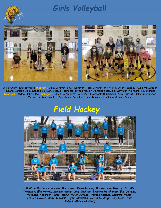## *Girls Volleyball*





Chloe Ahern, Isis Battaglia (Captain), Julia Donovan, Emily Donovan, Tate Doherty, Molly Tyle, Avery Swasey, Avea McCullough-Szehi, Danielle Luke, Kendall Sullivan, Sophia Hatmaker, Elyssa Naylor, Annabelle DeLisle, Mattison Visingard, Lily Mandel (Manager), Rylee Blanchette (Manager), Gillian Bouthillette, Aida Davis, Makaela Drummond, Aria Laurent, Emma Rodenhiser, Mackenzie Roy, Brooklyn Sainsbury, Daniella Tracy, Jessica Henrikson, Adyson Spiller

### *Field Hockey*



*Madison MacLaren, Morgan MacLaren, Sierra Hamlin, Makennah McPherson, Natalie Tremblay, Ella Morris, Morgan Norby, Lucy Jackson, Breanna Hutchinson, Ella Dishong, Makenzie Anderson, Eliza Harris, Molly Dishong, Hayden Kaltsas, Laramie Wilson, Emalee Naylor, Abby Kamineki, Lydia Cleveland, Sarah Holdrege, Lily Heck, Allie Hodgen, Abbey Shumway*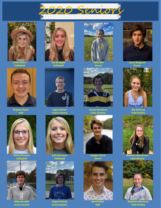



**Chloe Ahern Volleyball**



**Brigham Boice Golf**



**Emily Donovan Volleyball**



**Wiley Kendall Cross Country**



**Volleyball**



**Logan Decker Cross Country**



**Julia Donovan Volleyball**



**August Kotula Cross Country**



**Soccer**



**Haven Deschene Cross Country**



**Keegan Harris Soccer**



**Ben Kriebel Golf**



**Jason Bergeron Soccer**



**Ella Dishong Field Hockey**



**Field Hockey**



**Madison MacLaren Field Hockey**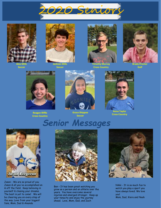



**Alex Mills Soccer**



**Jackson Mills Soccer**



**Timothy Murray Cross Country**



**Brady Proctor Golf**



**Reagan Riffle Cross Country**



**Grace Shippee Soccer**



**Anna Taylor Cross Country**

# *Senior Messages*



Jason - We are so proud of you Jason & all you've accomplished on & off the field. Keep believing in yourself & chasing your dreams. The best is yet to come! We will be cheering you on every step of the way. Love from your biggest fans, Mom, Dad & Amanda



Ben – It has been great watching you grow as a person and an athlete over the years. You have overcome several injuries and emerged stronger. Keep up your tenacity and enjoy the journey ahead. Love, Mom, Dad, and Zach



Nikki - It is so much fun to watch you play a sport you have always loved. We love you! Mom, Dad, Kiera and Noah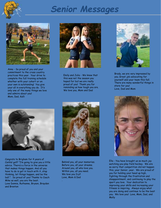

# *Senior Messages*



Anna - So proud of you and your commitment to the cross country practices this year. Your drive to complete the full training schedule whether with your cohort or on your own is outstanding! You give your all in everything you do. It's only one of the many things we love and admire about you! Mom, Dad, Kalli



Emily and Julia - We know that this was not the season you hoped for but we are really proud of you! Thank you for reminding us how tough you are. We love you, Mom and Dad



Brady, we are very impressed by you. Great job advocating for yourself and your team this fall. There are many wonderful things in store for you! Love, Dad and Mom



Congrats to Brigham for 4 years of ConVal golf! "I'm going to give you a little advice. There's a force in the universe that makes things happen. And all you have to do is get in touch with it, stop thinking, let things happen, and be the ball.". So proud of you! Thanks to Coach Mike as well, you are the best. Love Donnie, Ruthanne, Bryson, Brayden and Brenton



Behind you, all your memories. Before you, all your dreams. Around you, all who love you. Within you, all you need. We love you Icy!! Love, Mom & Dad

.



Ella - You have brought us so much joy watching you play field hockey. We are so sorry that competition did not happen this, your Senior, year. We are proud of you for holding your head up high, fighting through the frustration and disappointment, and continuing to play the sport you love. Your dedication to improving your skills and increasing your fitness is inspiring. Always enjoy what you are doing and continue to be the best you. We love you! Love, Mom, Dad, and Molly